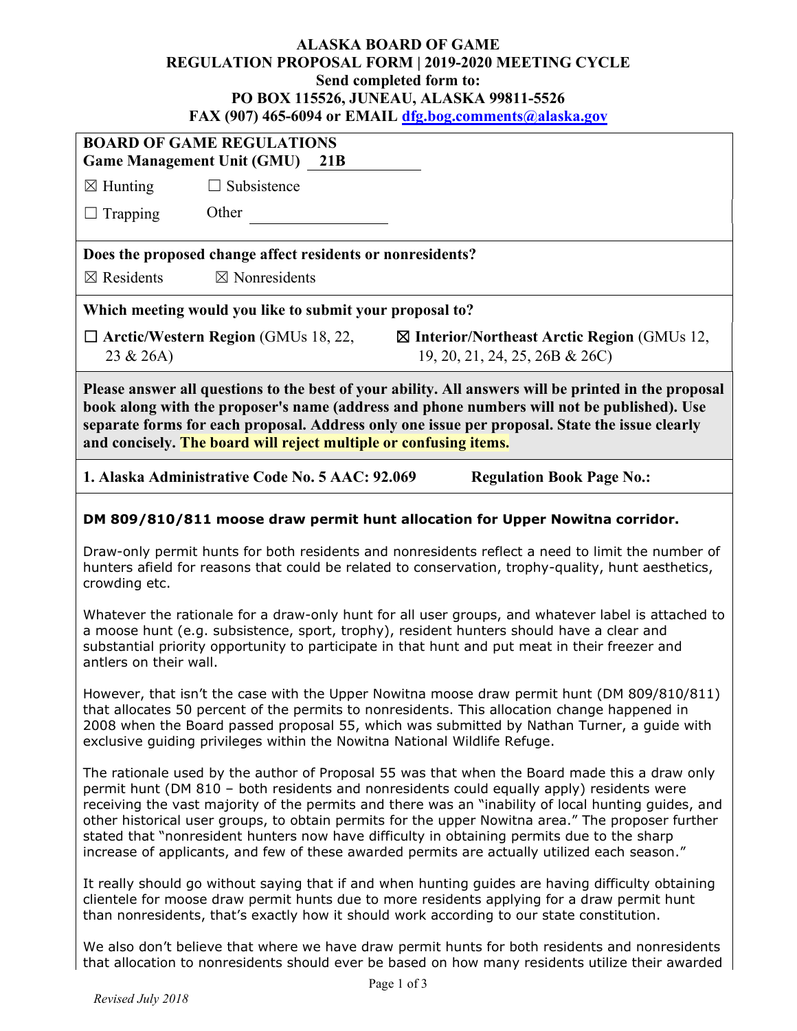## **ALASKA BOARD OF GAME REGULATION PROPOSAL FORM | 2019-2020 MEETING CYCLE Send completed form to: PO BOX 115526, JUNEAU, ALASKA 99811-5526 FAX (907) 465-6094 or EMAIL [dfg.bog.comments@alaska.gov](mailto:dfg.bog.comments@alaska.gov)**

| <b>BOARD OF GAME REGULATIONS</b><br><b>Game Management Unit (GMU)</b> 21B                                                                                                                                                                                                                                                                                                                                                                                                                                                                                                                            |                                                            |                                                                                          |  |
|------------------------------------------------------------------------------------------------------------------------------------------------------------------------------------------------------------------------------------------------------------------------------------------------------------------------------------------------------------------------------------------------------------------------------------------------------------------------------------------------------------------------------------------------------------------------------------------------------|------------------------------------------------------------|------------------------------------------------------------------------------------------|--|
| $\boxtimes$ Hunting                                                                                                                                                                                                                                                                                                                                                                                                                                                                                                                                                                                  | $\Box$ Subsistence                                         |                                                                                          |  |
| $\Box$ Trapping                                                                                                                                                                                                                                                                                                                                                                                                                                                                                                                                                                                      | Other                                                      |                                                                                          |  |
|                                                                                                                                                                                                                                                                                                                                                                                                                                                                                                                                                                                                      | Does the proposed change affect residents or nonresidents? |                                                                                          |  |
| $\boxtimes$ Residents                                                                                                                                                                                                                                                                                                                                                                                                                                                                                                                                                                                | $\boxtimes$ Nonresidents                                   |                                                                                          |  |
|                                                                                                                                                                                                                                                                                                                                                                                                                                                                                                                                                                                                      | Which meeting would you like to submit your proposal to?   |                                                                                          |  |
| 23 & 26A)                                                                                                                                                                                                                                                                                                                                                                                                                                                                                                                                                                                            | $\Box$ Arctic/Western Region (GMUs 18, 22,                 | $\boxtimes$ Interior/Northeast Arctic Region (GMUs 12,<br>19, 20, 21, 24, 25, 26B & 26C) |  |
| Please answer all questions to the best of your ability. All answers will be printed in the proposal<br>book along with the proposer's name (address and phone numbers will not be published). Use<br>separate forms for each proposal. Address only one issue per proposal. State the issue clearly<br>and concisely. The board will reject multiple or confusing items.                                                                                                                                                                                                                            |                                                            |                                                                                          |  |
|                                                                                                                                                                                                                                                                                                                                                                                                                                                                                                                                                                                                      | 1. Alaska Administrative Code No. 5 AAC: 92.069            | <b>Regulation Book Page No.:</b>                                                         |  |
|                                                                                                                                                                                                                                                                                                                                                                                                                                                                                                                                                                                                      |                                                            | DM 809/810/811 moose draw permit hunt allocation for Upper Nowitna corridor.             |  |
| Draw-only permit hunts for both residents and nonresidents reflect a need to limit the number of<br>hunters afield for reasons that could be related to conservation, trophy-quality, hunt aesthetics,<br>crowding etc.                                                                                                                                                                                                                                                                                                                                                                              |                                                            |                                                                                          |  |
| Whatever the rationale for a draw-only hunt for all user groups, and whatever label is attached to<br>a moose hunt (e.g. subsistence, sport, trophy), resident hunters should have a clear and<br>substantial priority opportunity to participate in that hunt and put meat in their freezer and<br>antlers on their wall.                                                                                                                                                                                                                                                                           |                                                            |                                                                                          |  |
| However, that isn't the case with the Upper Nowitna moose draw permit hunt (DM 809/810/811)<br>that allocates 50 percent of the permits to nonresidents. This allocation change happened in<br>2008 when the Board passed proposal 55, which was submitted by Nathan Turner, a guide with<br>exclusive guiding privileges within the Nowitna National Wildlife Refuge.                                                                                                                                                                                                                               |                                                            |                                                                                          |  |
| The rationale used by the author of Proposal 55 was that when the Board made this a draw only<br>permit hunt (DM 810 - both residents and nonresidents could equally apply) residents were<br>receiving the vast majority of the permits and there was an "inability of local hunting guides, and<br>other historical user groups, to obtain permits for the upper Nowitna area." The proposer further<br>stated that "nonresident hunters now have difficulty in obtaining permits due to the sharp<br>increase of applicants, and few of these awarded permits are actually utilized each season." |                                                            |                                                                                          |  |
| It really should go without saying that if and when hunting guides are having difficulty obtaining<br>clientele for moose draw permit hunts due to more residents applying for a draw permit hunt<br>than nonresidents, that's exactly how it should work according to our state constitution.                                                                                                                                                                                                                                                                                                       |                                                            |                                                                                          |  |
| We also don't believe that where we have draw permit hunts for both residents and nonresidents<br>that allocation to nonresidents should ever be based on how many residents utilize their awarded                                                                                                                                                                                                                                                                                                                                                                                                   |                                                            |                                                                                          |  |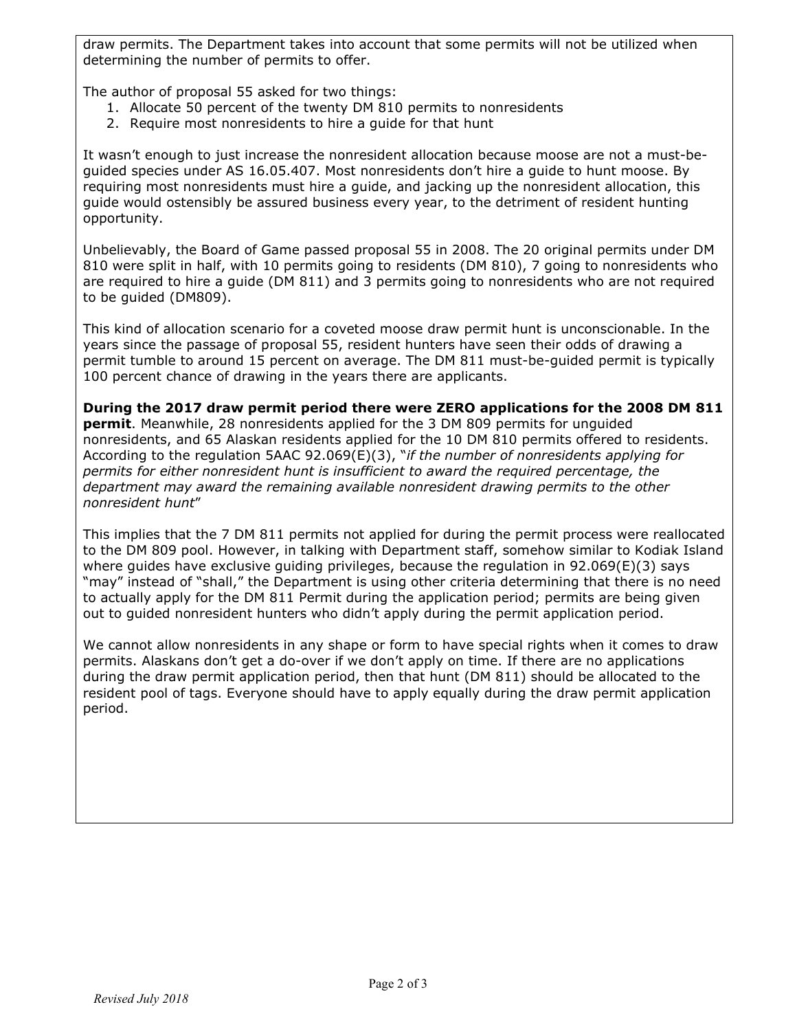draw permits. The Department takes into account that some permits will not be utilized when determining the number of permits to offer.

The author of proposal 55 asked for two things:

- 1. Allocate 50 percent of the twenty DM 810 permits to nonresidents
- 2. Require most nonresidents to hire a guide for that hunt

It wasn't enough to just increase the nonresident allocation because moose are not a must-beguided species under AS 16.05.407. Most nonresidents don't hire a guide to hunt moose. By requiring most nonresidents must hire a guide, and jacking up the nonresident allocation, this guide would ostensibly be assured business every year, to the detriment of resident hunting opportunity.

Unbelievably, the Board of Game passed proposal 55 in 2008. The 20 original permits under DM 810 were split in half, with 10 permits going to residents (DM 810), 7 going to nonresidents who are required to hire a guide (DM 811) and 3 permits going to nonresidents who are not required to be guided (DM809).

This kind of allocation scenario for a coveted moose draw permit hunt is unconscionable. In the years since the passage of proposal 55, resident hunters have seen their odds of drawing a permit tumble to around 15 percent on average. The DM 811 must-be-guided permit is typically 100 percent chance of drawing in the years there are applicants.

**During the 2017 draw permit period there were ZERO applications for the 2008 DM 811 permit**. Meanwhile, 28 nonresidents applied for the 3 DM 809 permits for unguided nonresidents, and 65 Alaskan residents applied for the 10 DM 810 permits offered to residents. According to the regulation 5AAC 92.069(E)(3), "*if the number of nonresidents applying for permits for either nonresident hunt is insufficient to award the required percentage, the department may award the remaining available nonresident drawing permits to the other nonresident hunt*"

This implies that the 7 DM 811 permits not applied for during the permit process were reallocated to the DM 809 pool. However, in talking with Department staff, somehow similar to Kodiak Island where guides have exclusive guiding privileges, because the regulation in  $92.069(E)(3)$  says "may" instead of "shall," the Department is using other criteria determining that there is no need to actually apply for the DM 811 Permit during the application period; permits are being given out to guided nonresident hunters who didn't apply during the permit application period.

We cannot allow nonresidents in any shape or form to have special rights when it comes to draw permits. Alaskans don't get a do-over if we don't apply on time. If there are no applications during the draw permit application period, then that hunt (DM 811) should be allocated to the resident pool of tags. Everyone should have to apply equally during the draw permit application period.